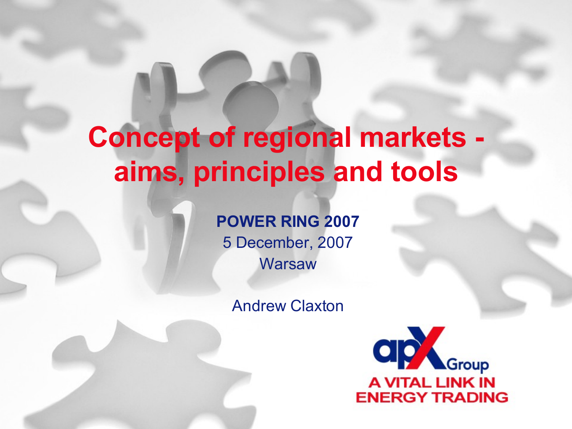# **Concept of regional markets aims, principles and tools**

**POWER RING 2007** 5 December, 2007 **Warsaw** 

Andrew Claxton

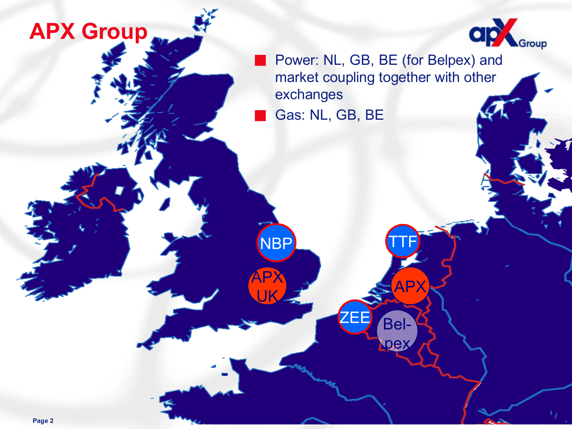#### **APX Group**



Power: NL, GB, BE (for Belpex) and market coupling together with other exchanges Gas: NL, GB, BE

Bel-

ZEE

APX

TTF

 $\boldsymbol{\Theta}$ 

NBP

**AP** 

UK

**Page 2**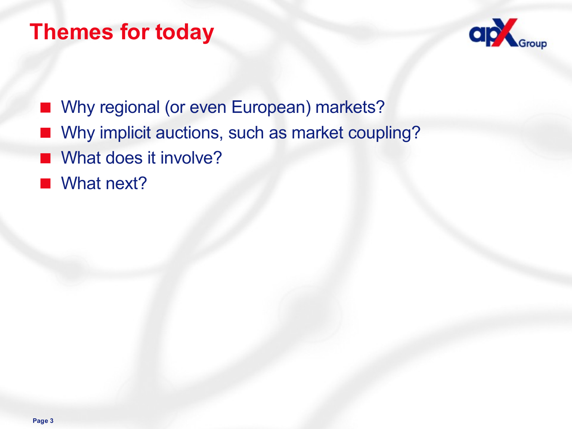#### **Themes for today**



- Why regional (or even European) markets?
- Why implicit auctions, such as market coupling?
- What does it involve?
- What next?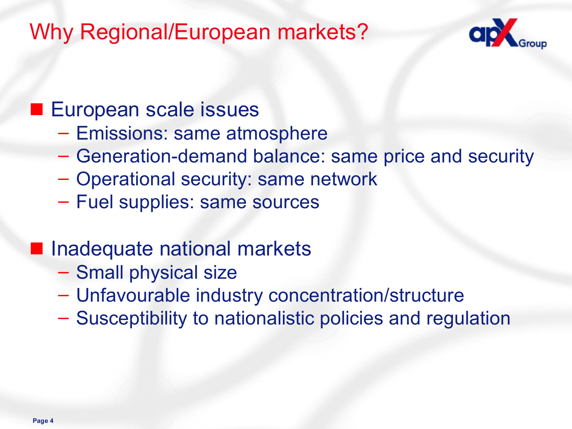#### Why Regional/European markets?



#### ■ European scale issues

- Emissions: same atmosphere
- Generation-demand balance: same price and security
- Operational security: same network
- Fuel supplies: same sources

#### Inadequate national markets

- Small physical size
- Unfavourable industry concentration/structure
- Susceptibility to nationalistic policies and regulation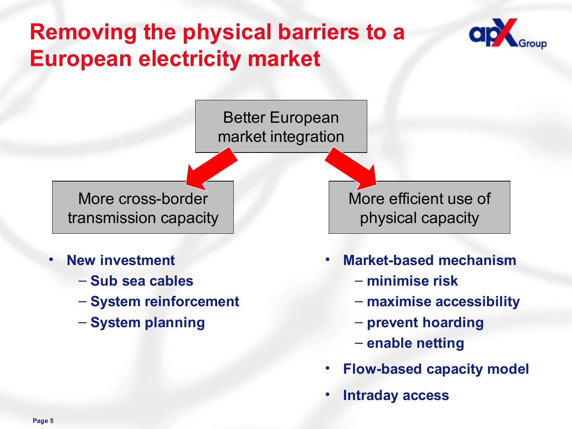## **Removing the physical barriers to a European electricity market**



Better European market integration

More cross-border transmission capacity

- **New investment**
	- **Sub sea cables**
	- **System reinforcement**
	- **System planning**

More efficient use of physical capacity

- **Market-based mechanism**
	- **minimise risk**
	- **maximise accessibility**
	- **prevent hoarding**
	- **enable netting**
- **Flow-based capacity model**
- **Intraday access**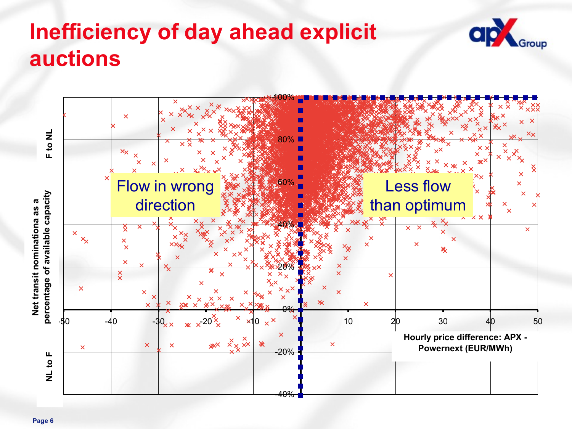## **Inefficiency of day ahead explicit auctions**



**ap** 

iroup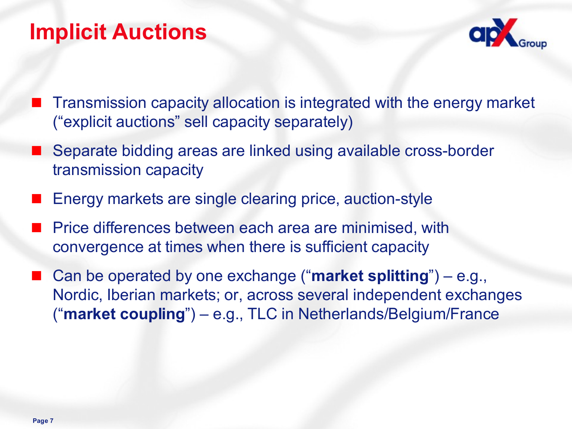#### **Implicit Auctions**



- Transmission capacity allocation is integrated with the energy market ("explicit auctions" sell capacity separately)
- Separate bidding areas are linked using available cross-border transmission capacity
- Energy markets are single clearing price, auction-style
- Price differences between each area are minimised, with convergence at times when there is sufficient capacity
- Can be operated by one exchange ("**market splitting**") e.g., Nordic, Iberian markets; or, across several independent exchanges ("**market coupling**") – e.g., TLC in Netherlands/Belgium/France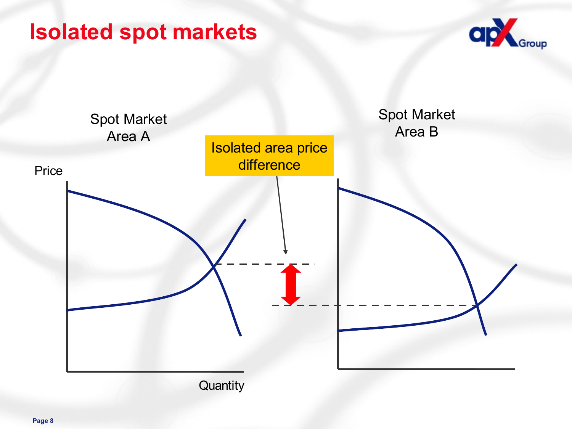#### **Isolated spot markets**



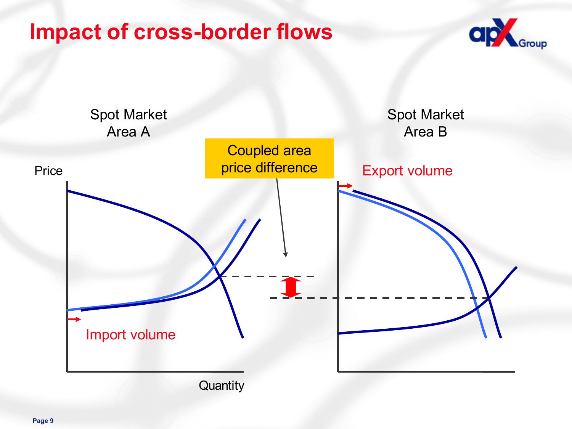#### **Impact of cross-border flows**



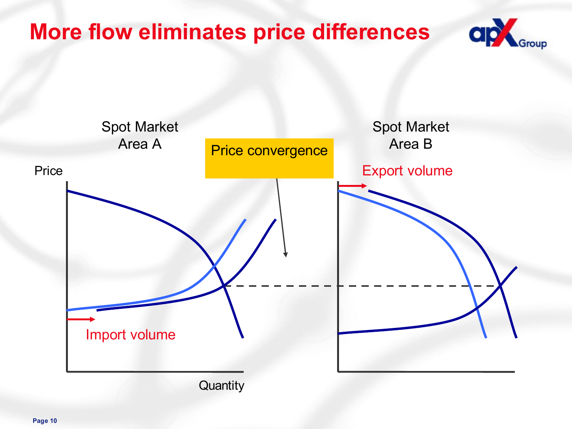#### **More flow eliminates price differences**



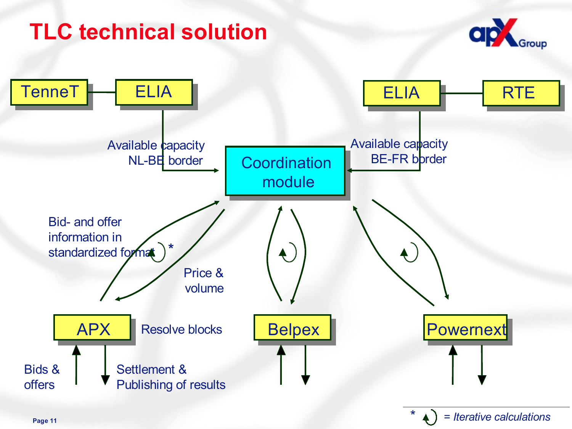## **TLC technical solution**



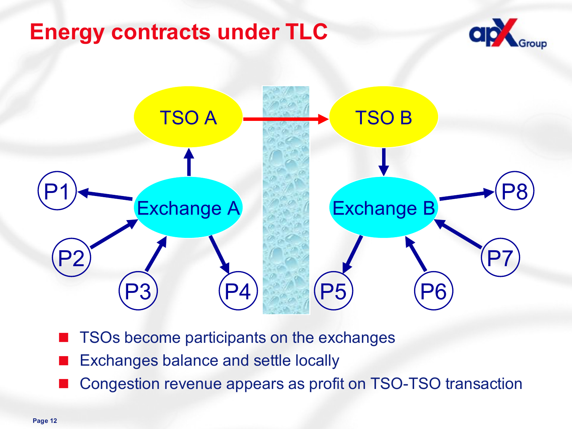#### **Energy contracts under TLC**





- TSOs become participants on the exchanges
- **Exchanges balance and settle locally**
- Congestion revenue appears as profit on TSO-TSO transaction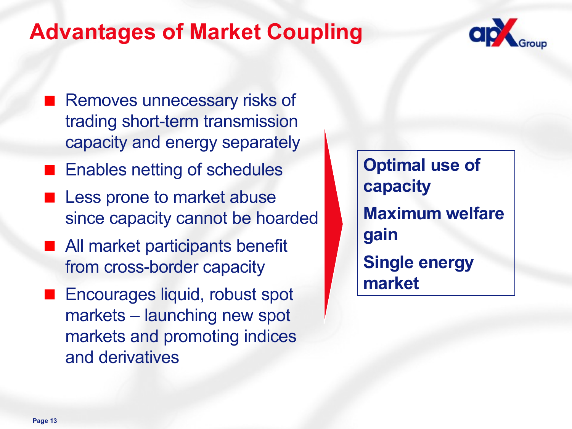#### **Advantages of Market Coupling**



- Removes unnecessary risks of trading short-term transmission capacity and energy separately
- Enables netting of schedules
- Less prone to market abuse since capacity cannot be hoarded
- All market participants benefit from cross-border capacity
- Encourages liquid, robust spot markets – launching new spot markets and promoting indices and derivatives

**Optimal use of capacity Maximum welfare gain Single energy market**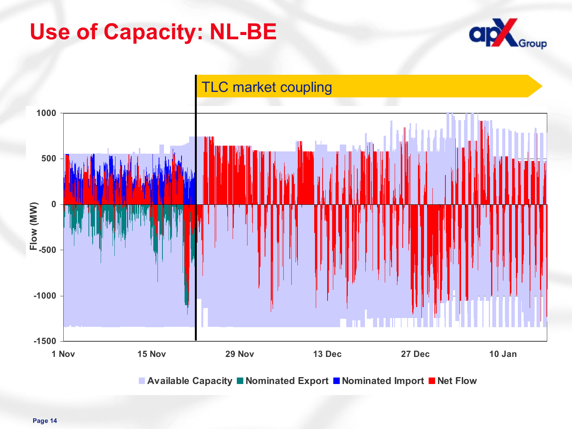#### **Use of Capacity: NL-BE**





**Available Capacity Nominated Export Nominated Import Net Flow**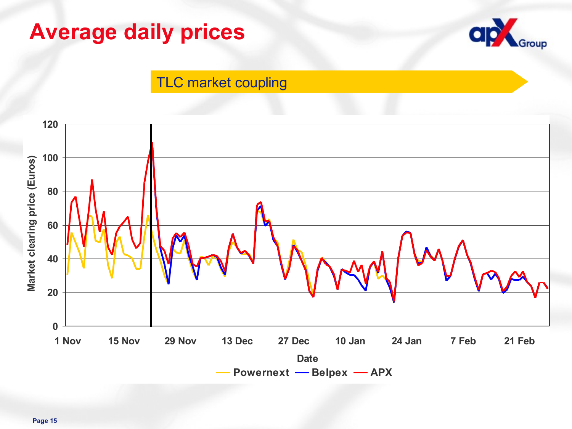#### **Average daily prices**



#### TLC market coupling

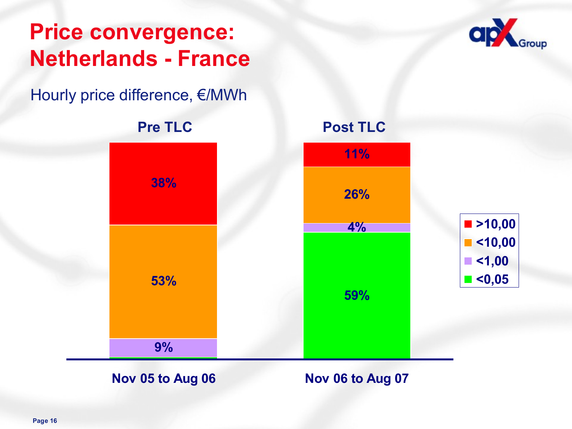#### **Price convergence: Netherlands - France**

Hourly price difference, €/MWh



**Nov 05 to Aug 06 Nov 06 to Aug 07**

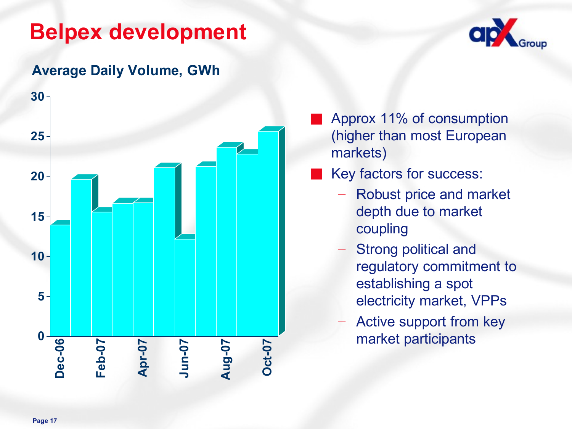#### **Belpex development**



#### **Average Daily Volume, GWh**



- Approx 11% of consumption (higher than most European markets)
- Key factors for success:
	- Robust price and market depth due to market coupling
	- Strong political and regulatory commitment to establishing a spot electricity market, VPPs
	- Active support from key market participants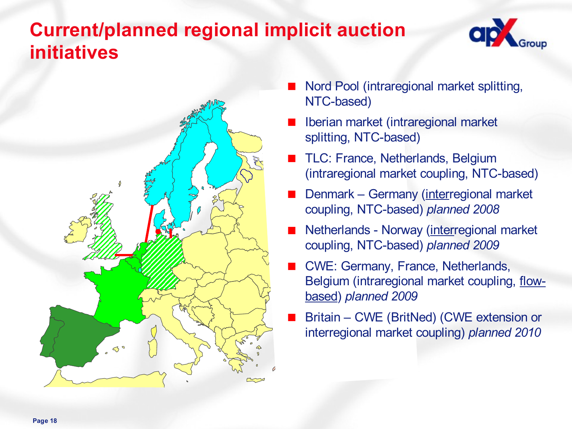#### **Current/planned regional implicit auction initiatives**





- Nord Pool (intraregional market splitting, NTC-based)
- Iberian market (intraregional market splitting, NTC-based)
- TLC: France, Netherlands, Belgium (intraregional market coupling, NTC-based)
- Denmark Germany (interregional market coupling, NTC-based) *planned 2008*
- Netherlands Norway (interregional market coupling, NTC-based) *planned 2009*
- CWE: Germany, France, Netherlands, Belgium (intraregional market coupling, flowbased) *planned 2009*
- Britain CWE (BritNed) (CWE extension or interregional market coupling) *planned 2010*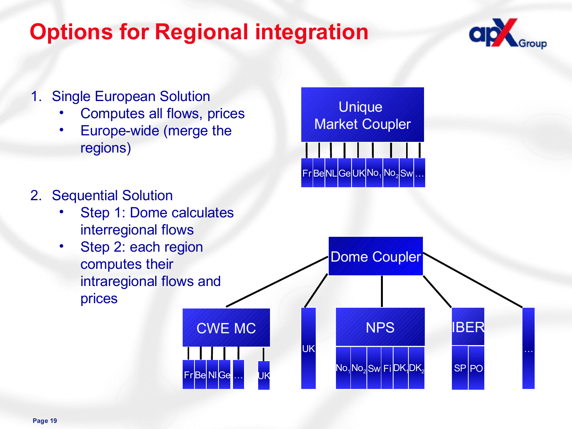## **Options for Regional integration**





- Computes all flows, prices
- Europe-wide (merge the regions)



- Step 1: Dome calculates interregional flows
- Step 2: each region computes their intraregional flows and prices

Unique Market Coupler  $Fr$  $BelNL$  $Ge$  $UK$  $No<sub>1</sub>$  $No<sub>2</sub>$  $Sw$  $|$ ..

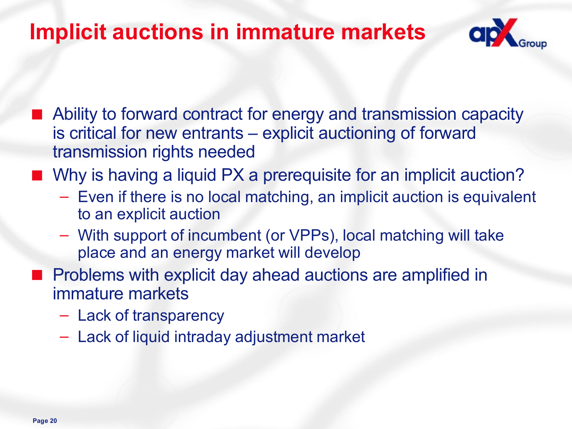#### **Implicit auctions in immature markets**



- Ability to forward contract for energy and transmission capacity is critical for new entrants – explicit auctioning of forward transmission rights needed
- Why is having a liquid PX a prerequisite for an implicit auction?
	- Even if there is no local matching, an implicit auction is equivalent to an explicit auction
	- With support of incumbent (or VPPs), local matching will take place and an energy market will develop
- Problems with explicit day ahead auctions are amplified in immature markets
	- Lack of transparency
	- Lack of liquid intraday adjustment market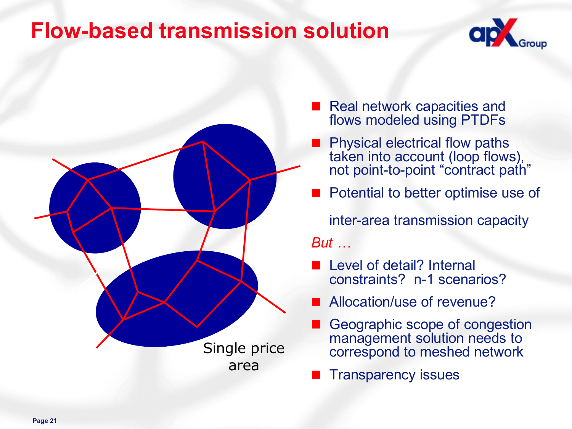#### **Flow-based transmission solution**





- Real network capacities and flows modeled using PTDFs
- Physical electrical flow paths taken into account (loop flows), not point-to-point "contract path"
- Potential to better optimise use of

inter-area transmission capacity *But …*

- Level of detail? Internal constraints? n-1 scenarios?
- Allocation/use of revenue?
- Geographic scope of congestion management solution needs to correspond to meshed network
- Transparency issues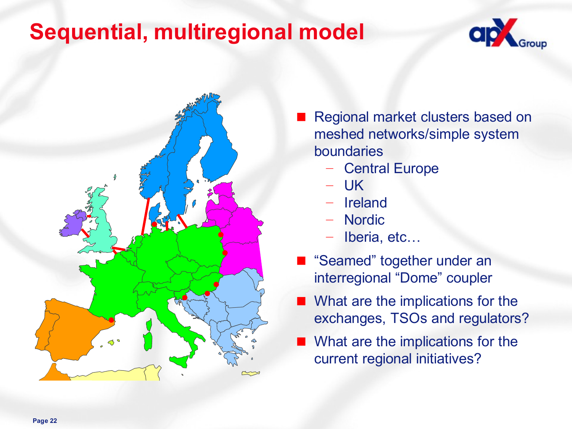#### **Sequential, multiregional model**





- Regional market clusters based on meshed networks/simple system boundaries
	- Central Europe
	- UK
	- **Ireland**
	- Nordic
	- Iberia, etc...
- "Seamed" together under an interregional "Dome" coupler
- What are the implications for the exchanges, TSOs and regulators?
- What are the implications for the current regional initiatives?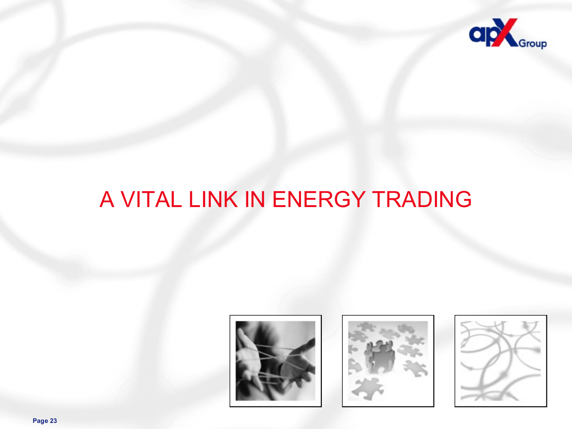

## A VITAL LINK IN ENERGY TRADING







**Page 23**